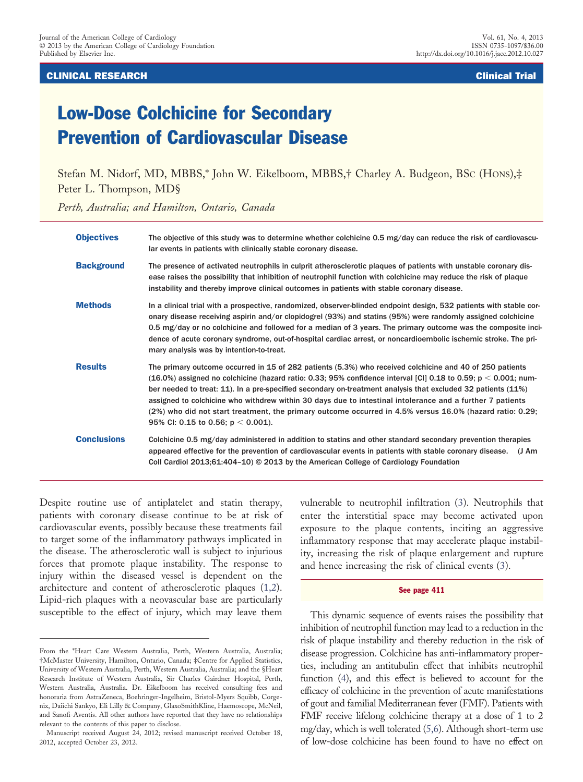CLINICAL RESEARCH Clinical Trial

# Low-Dose Colchicine for Secondary Prevention of Cardiovascular Disease

Stefan M. Nidorf, MD, MBBS,\* John W. Eikelboom, MBBS,† Charley A. Budgeon, BSC (HONS),‡ Peter L. Thompson, MD§

*Perth, Australia; and Hamilton, Ontario, Canada*

| <b>Objectives</b>  | The objective of this study was to determine whether colchicine 0.5 mg/day can reduce the risk of cardiovascu-<br>lar events in patients with clinically stable coronary disease.                                                                                                                                                                                                                                                                                                                                                                                                                              |
|--------------------|----------------------------------------------------------------------------------------------------------------------------------------------------------------------------------------------------------------------------------------------------------------------------------------------------------------------------------------------------------------------------------------------------------------------------------------------------------------------------------------------------------------------------------------------------------------------------------------------------------------|
| <b>Background</b>  | The presence of activated neutrophils in culprit atherosclerotic plaques of patients with unstable coronary dis-<br>ease raises the possibility that inhibition of neutrophil function with colchicine may reduce the risk of plaque<br>instability and thereby improve clinical outcomes in patients with stable coronary disease.                                                                                                                                                                                                                                                                            |
| <b>Methods</b>     | In a clinical trial with a prospective, randomized, observer-blinded endpoint design, 532 patients with stable cor-<br>onary disease receiving aspirin and/or clopidogrel (93%) and statins (95%) were randomly assigned colchicine<br>0.5 mg/day or no colchicine and followed for a median of 3 years. The primary outcome was the composite inci-<br>dence of acute coronary syndrome, out-of-hospital cardiac arrest, or noncardioembolic ischemic stroke. The pri-<br>mary analysis was by intention-to-treat.                                                                                            |
| <b>Results</b>     | The primary outcome occurred in 15 of 282 patients (5.3%) who received colchicine and 40 of 250 patients<br>$(16.0\%)$ assigned no colchicine (hazard ratio: 0.33; 95% confidence interval [CI] 0.18 to 0.59; p < 0.001; num-<br>ber needed to treat: 11). In a pre-specified secondary on-treatment analysis that excluded 32 patients (11%)<br>assigned to colchicine who withdrew within 30 days due to intestinal intolerance and a further 7 patients<br>(2%) who did not start treatment, the primary outcome occurred in 4.5% versus 16.0% (hazard ratio: 0.29;<br>95% CI: 0.15 to 0.56; $p < 0.001$ ). |
| <b>Conclusions</b> | Colchicine 0.5 mg/day administered in addition to statins and other standard secondary prevention therapies<br>appeared effective for the prevention of cardiovascular events in patients with stable coronary disease. (J Am<br>Coll Cardiol 2013;61:404-10) © 2013 by the American College of Cardiology Foundation                                                                                                                                                                                                                                                                                          |

Despite routine use of antiplatelet and statin therapy, patients with coronary disease continue to be at risk of cardiovascular events, possibly because these treatments fail to target some of the inflammatory pathways implicated in the disease. The atherosclerotic wall is subject to injurious forces that promote plaque instability. The response to injury within the diseased vessel is dependent on the architecture and content of atherosclerotic plaques [\(1,2\)](#page-6-0). Lipid-rich plaques with a neovascular base are particularly susceptible to the effect of injury, which may leave them

vulnerable to neutrophil infiltration [\(3\)](#page-6-1). Neutrophils that enter the interstitial space may become activated upon exposure to the plaque contents, inciting an aggressive inflammatory response that may accelerate plaque instability, increasing the risk of plaque enlargement and rupture and hence increasing the risk of clinical events [\(3\)](#page-6-1).

#### See page 411

This dynamic sequence of events raises the possibility that inhibition of neutrophil function may lead to a reduction in the risk of plaque instability and thereby reduction in the risk of disease progression. Colchicine has anti-inflammatory properties, including an antitubulin effect that inhibits neutrophil function [\(4\)](#page-6-2), and this effect is believed to account for the efficacy of colchicine in the prevention of acute manifestations of gout and familial Mediterranean fever (FMF). Patients with FMF receive lifelong colchicine therapy at a dose of 1 to 2 mg/day, which is well tolerated [\(5,6\)](#page-6-3). Although short-term use of low-dose colchicine has been found to have no effect on

From the \*Heart Care Western Australia, Perth, Western Australia, Australia; †McMaster University, Hamilton, Ontario, Canada; ‡Centre for Applied Statistics, University of Western Australia, Perth, Western Australia, Australia; and the §Heart Research Institute of Western Australia, Sir Charles Gairdner Hospital, Perth, Western Australia, Australia. Dr. Eikelboom has received consulting fees and honoraria from AstraZeneca, Boehringer-Ingelheim, Bristol-Myers Squibb, Corgenix, Daiichi Sankyo, Eli Lilly & Company, GlaxoSmithKline, Haemoscope, McNeil, and Sanofi-Aventis. All other authors have reported that they have no relationships relevant to the contents of this paper to disclose.

Manuscript received August 24, 2012; revised manuscript received October 18, 2012, accepted October 23, 2012.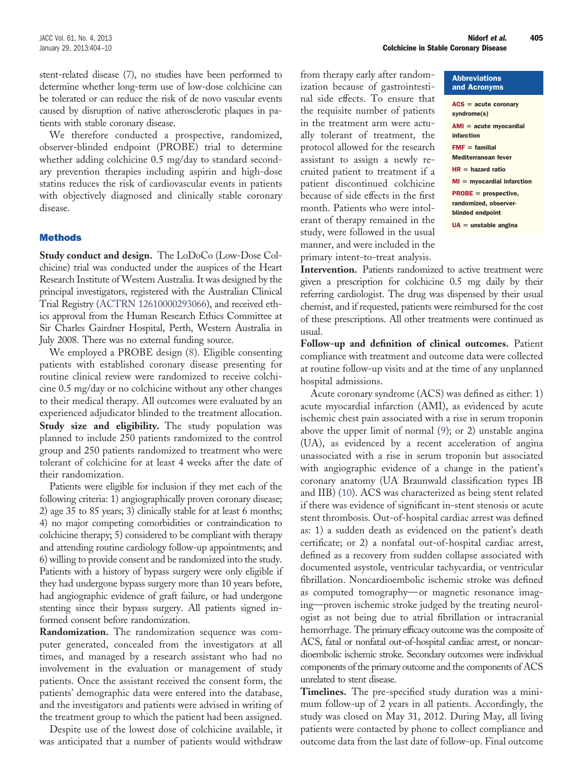stent-related disease [\(7\)](#page-6-4), no studies have been performed to determine whether long-term use of low-dose colchicine can be tolerated or can reduce the risk of de novo vascular events caused by disruption of native atherosclerotic plaques in patients with stable coronary disease.

We therefore conducted a prospective, randomized, observer-blinded endpoint (PROBE) trial to determine whether adding colchicine 0.5 mg/day to standard secondary prevention therapies including aspirin and high-dose statins reduces the risk of cardiovascular events in patients with objectively diagnosed and clinically stable coronary disease.

## Methods

**Study conduct and design.** The LoDoCo (Low-Dose Colchicine) trial was conducted under the auspices of the Heart Research Institute of Western Australia. It was designed by the principal investigators, registered with the Australian Clinical Trial Registry [\(ACTRN 12610000293066\)](https://www.anzctr.org.au/Trial/Registration/TrialReview.aspx?id=335318), and received ethics approval from the Human Research Ethics Committee at Sir Charles Gairdner Hospital, Perth, Western Australia in July 2008. There was no external funding source.

We employed a PROBE design [\(8\)](#page-6-5). Eligible consenting patients with established coronary disease presenting for routine clinical review were randomized to receive colchicine 0.5 mg/day or no colchicine without any other changes to their medical therapy. All outcomes were evaluated by an experienced adjudicator blinded to the treatment allocation. **Study size and eligibility.** The study population was planned to include 250 patients randomized to the control group and 250 patients randomized to treatment who were tolerant of colchicine for at least 4 weeks after the date of their randomization.

Patients were eligible for inclusion if they met each of the following criteria: 1) angiographically proven coronary disease; 2) age 35 to 85 years; 3) clinically stable for at least 6 months; 4) no major competing comorbidities or contraindication to colchicine therapy; 5) considered to be compliant with therapy and attending routine cardiology follow-up appointments; and 6) willing to provide consent and be randomized into the study. Patients with a history of bypass surgery were only eligible if they had undergone bypass surgery more than 10 years before, had angiographic evidence of graft failure, or had undergone stenting since their bypass surgery. All patients signed informed consent before randomization.

**Randomization.** The randomization sequence was computer generated, concealed from the investigators at all times, and managed by a research assistant who had no involvement in the evaluation or management of study patients. Once the assistant received the consent form, the patients' demographic data were entered into the database, and the investigators and patients were advised in writing of the treatment group to which the patient had been assigned.

Despite use of the lowest dose of colchicine available, it was anticipated that a number of patients would withdraw

from therapy early after randomization because of gastrointestinal side effects. To ensure that the requisite number of patients in the treatment arm were actually tolerant of treatment, the protocol allowed for the research assistant to assign a newly recruited patient to treatment if a patient discontinued colchicine because of side effects in the first month. Patients who were intolerant of therapy remained in the study, were followed in the usual manner, and were included in the primary intent-to-treat analysis.

Abbreviations and Acronyms  $ACS = acute coronary$ syndrome(s)  $AMI = acute$  myocardial infarction  $FMF =$  familial Mediterranean fever  $HR = hazard ratio$  $MI = myocardial infarction$ PROBE = prospective, randomized, observerblinded endpoint  $UA =$ unstable angina

**Intervention.** Patients randomized to active treatment were given a prescription for colchicine 0.5 mg daily by their referring cardiologist. The drug was dispensed by their usual chemist, and if requested, patients were reimbursed for the cost of these prescriptions. All other treatments were continued as usual.

**Follow-up and definition of clinical outcomes.** Patient compliance with treatment and outcome data were collected at routine follow-up visits and at the time of any unplanned hospital admissions.

Acute coronary syndrome (ACS) was defined as either: 1) acute myocardial infarction (AMI), as evidenced by acute ischemic chest pain associated with a rise in serum troponin above the upper limit of normal [\(9\)](#page-6-6); or 2) unstable angina (UA), as evidenced by a recent acceleration of angina unassociated with a rise in serum troponin but associated with angiographic evidence of a change in the patient's coronary anatomy (UA Braunwald classification types IB and IIB) [\(10\)](#page-6-7). ACS was characterized as being stent related if there was evidence of significant in-stent stenosis or acute stent thrombosis. Out-of-hospital cardiac arrest was defined as: 1) a sudden death as evidenced on the patient's death certificate; or 2) a nonfatal out-of-hospital cardiac arrest, defined as a recovery from sudden collapse associated with documented asystole, ventricular tachycardia, or ventricular fibrillation. Noncardioembolic ischemic stroke was defined as computed tomography—or magnetic resonance imaging—proven ischemic stroke judged by the treating neurologist as not being due to atrial fibrillation or intracranial hemorrhage. The primary efficacy outcome was the composite of ACS, fatal or nonfatal out-of-hospital cardiac arrest, or noncardioembolic ischemic stroke. Secondary outcomes were individual components of the primary outcome and the components of ACS unrelated to stent disease.

**Timelines.** The pre-specified study duration was a minimum follow-up of 2 years in all patients. Accordingly, the study was closed on May 31, 2012. During May, all living patients were contacted by phone to collect compliance and outcome data from the last date of follow-up. Final outcome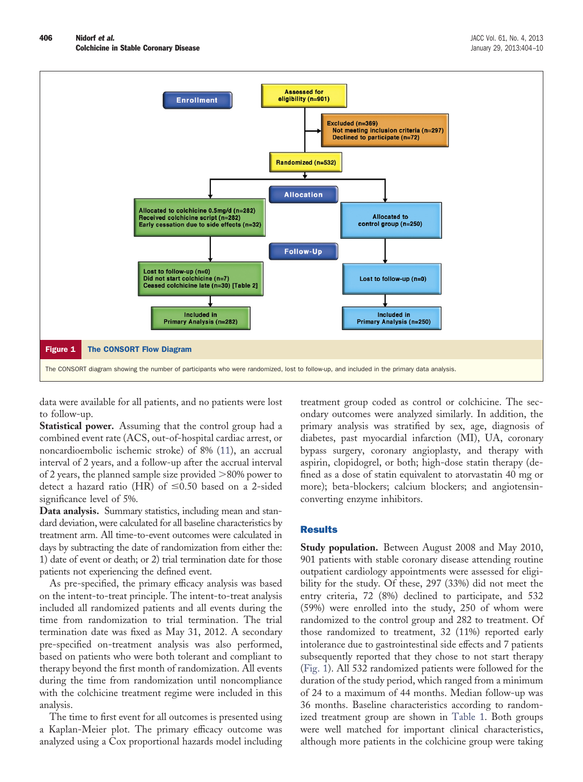

<span id="page-2-0"></span>data were available for all patients, and no patients were lost to follow-up.

**Statistical power.** Assuming that the control group had a combined event rate (ACS, out-of-hospital cardiac arrest, or noncardioembolic ischemic stroke) of 8% [\(11\)](#page-6-8), an accrual interval of 2 years, and a follow-up after the accrual interval of 2 years, the planned sample size provided  $>$  80% power to detect a hazard ratio (HR) of  $\leq 0.50$  based on a 2-sided significance level of 5%.

**Data analysis.** Summary statistics, including mean and standard deviation, were calculated for all baseline characteristics by treatment arm. All time-to-event outcomes were calculated in days by subtracting the date of randomization from either the: 1) date of event or death; or 2) trial termination date for those patients not experiencing the defined event.

As pre-specified, the primary efficacy analysis was based on the intent-to-treat principle. The intent-to-treat analysis included all randomized patients and all events during the time from randomization to trial termination. The trial termination date was fixed as May 31, 2012. A secondary pre-specified on-treatment analysis was also performed, based on patients who were both tolerant and compliant to therapy beyond the first month of randomization. All events during the time from randomization until noncompliance with the colchicine treatment regime were included in this analysis.

The time to first event for all outcomes is presented using a Kaplan-Meier plot. The primary efficacy outcome was analyzed using a Cox proportional hazards model including treatment group coded as control or colchicine. The secondary outcomes were analyzed similarly. In addition, the primary analysis was stratified by sex, age, diagnosis of diabetes, past myocardial infarction (MI), UA, coronary bypass surgery, coronary angioplasty, and therapy with aspirin, clopidogrel, or both; high-dose statin therapy (defined as a dose of statin equivalent to atorvastatin 40 mg or more); beta-blockers; calcium blockers; and angiotensinconverting enzyme inhibitors.

## Results

**Study population.** Between August 2008 and May 2010, 901 patients with stable coronary disease attending routine outpatient cardiology appointments were assessed for eligibility for the study. Of these, 297 (33%) did not meet the entry criteria, 72 (8%) declined to participate, and 532 (59%) were enrolled into the study, 250 of whom were randomized to the control group and 282 to treatment. Of those randomized to treatment, 32 (11%) reported early intolerance due to gastrointestinal side effects and 7 patients subsequently reported that they chose to not start therapy [\(Fig. 1\)](#page-2-0). All 532 randomized patients were followed for the duration of the study period, which ranged from a minimum of 24 to a maximum of 44 months. Median follow-up was 36 months. Baseline characteristics according to randomized treatment group are shown in [Table 1.](#page-3-0) Both groups were well matched for important clinical characteristics, although more patients in the colchicine group were taking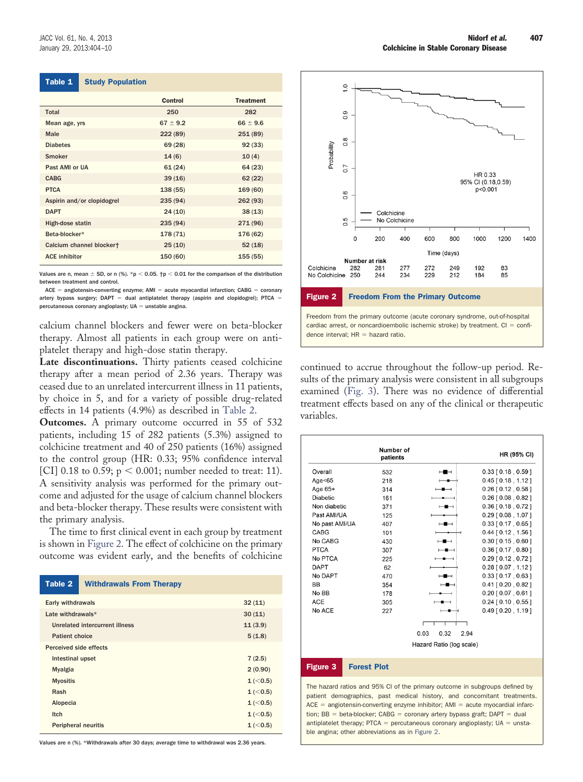<span id="page-3-0"></span>

| Table 1 | <b>Study Population</b> |
|---------|-------------------------|
|---------|-------------------------|

|                            | Control      | <b>Treatment</b> |
|----------------------------|--------------|------------------|
| Total                      | 250          | 282              |
| Mean age, yrs              | $67 \pm 9.2$ | $66 \pm 9.6$     |
| Male                       | 222(89)      | 251(89)          |
| <b>Diabetes</b>            | 69 (28)      | 92(33)           |
| Smoker                     | 14(6)        | 10(4)            |
| Past AMI or UA             | 61(24)       | 64(23)           |
| <b>CABG</b>                | 39(16)       | 62(22)           |
| <b>PTCA</b>                | 138 (55)     | 169 (60)         |
| Aspirin and/or clopidogrel | 235(94)      | 262(93)          |
| <b>DAPT</b>                | 24(10)       | 38(13)           |
| High-dose statin           | 235(94)      | 271 (96)         |
| Beta-blocker*              | 178 (71)     | 176 (62)         |
| Calcium channel blockert   | 25(10)       | 52(18)           |
| <b>ACE inhibitor</b>       | 150 (60)     | 155(55)          |

Values are n, mean  $\pm$  SD, or n (%). \*p < 0.05.  $\uparrow$ p < 0.01 for the comparison of the distribution between treatment and control.

 $ACE = anglotensin-converting enzyme; AMI = acute myocardial infarction; CABG = coronary$ artery bypass surgery;  $DAPT =$  dual antiplatelet therapy (aspirin and clopidogrel); PTCA = percutaneous coronary angioplasty;  $UA =$  unstable angina.

calcium channel blockers and fewer were on beta-blocker therapy. Almost all patients in each group were on antiplatelet therapy and high-dose statin therapy.

**Late discontinuations.** Thirty patients ceased colchicine therapy after a mean period of 2.36 years. Therapy was ceased due to an unrelated intercurrent illness in 11 patients, by choice in 5, and for a variety of possible drug-related effects in 14 patients (4.9%) as described in [Table 2.](#page-3-1)

**Outcomes.** A primary outcome occurred in 55 of 532 patients, including 15 of 282 patients (5.3%) assigned to colchicine treatment and 40 of 250 patients (16%) assigned to the control group (HR: 0.33; 95% confidence interval [CI] 0.18 to 0.59;  $p < 0.001$ ; number needed to treat: 11). A sensitivity analysis was performed for the primary outcome and adjusted for the usage of calcium channel blockers and beta-blocker therapy. These results were consistent with the primary analysis.

The time to first clinical event in each group by treatment is shown in [Figure 2.](#page-3-2) The effect of colchicine on the primary outcome was evident early, and the benefits of colchicine

<span id="page-3-1"></span>

| Table 2                        | <b>Withdrawals From Therapy</b> |           |
|--------------------------------|---------------------------------|-----------|
| Early withdrawals<br>32(11)    |                                 |           |
| Late withdrawals*              |                                 | 30(11)    |
| Unrelated intercurrent illness |                                 | 11(3.9)   |
| <b>Patient choice</b>          | 5(1.8)                          |           |
| Perceived side effects         |                                 |           |
| Intestinal upset               |                                 | 7(2.5)    |
| <b>Myalgia</b>                 | 2(0.90)                         |           |
| <b>Myositis</b>                |                                 | 1 (< 0.5) |
| Rash                           |                                 | 1 (< 0.5) |
| Alopecia                       |                                 | 1 (< 0.5) |
| Itch                           | 1 (< 0.5)                       |           |
| <b>Peripheral neuritis</b>     | 1 (< 0.5)                       |           |

Values are n (%). \*Withdrawals after 30 days; average time to withdrawal was 2.36 years.



<span id="page-3-2"></span>continued to accrue throughout the follow-up period. Results of the primary analysis were consistent in all subgroups examined [\(Fig. 3\)](#page-3-3). There was no evidence of differential treatment effects based on any of the clinical or therapeutic variables.

|                                                                                 | Number of<br>patients |                                                                           | <b>HR (95% CI)</b>                                                                                                                                                                                                                           |
|---------------------------------------------------------------------------------|-----------------------|---------------------------------------------------------------------------|----------------------------------------------------------------------------------------------------------------------------------------------------------------------------------------------------------------------------------------------|
| Overall                                                                         | 532                   | ⊶                                                                         | $0.33$ [ $0.18$ , $0.59$ ]                                                                                                                                                                                                                   |
| Age $<65$                                                                       | 218                   |                                                                           | $0.45$ [ 0.18, 1.12 ]                                                                                                                                                                                                                        |
| Age 65+                                                                         | 314                   |                                                                           | $0.26$ [ $0.12$ , $0.58$ ]                                                                                                                                                                                                                   |
| <b>Diabetic</b>                                                                 | 161                   |                                                                           | $0.26$ [ $0.08$ , $0.82$ ]                                                                                                                                                                                                                   |
| Non diabetic                                                                    | 371                   | ⊢∎⊣                                                                       | $0.36$ [ 0.18, 0.72 ]                                                                                                                                                                                                                        |
| Past AMI/UA                                                                     | 125                   |                                                                           | $0.29$ [ $0.08$ , 1.07 ]                                                                                                                                                                                                                     |
| No past AMI/UA                                                                  | 407                   | ⊢∎⊣                                                                       | $0.33$ [ 0.17, 0.65 ]                                                                                                                                                                                                                        |
| <b>CABG</b>                                                                     | 101                   |                                                                           | $0.44$ [ $0.12$ , 1.56 ]                                                                                                                                                                                                                     |
| No CABG                                                                         | 430                   | $\overline{\phantom{a}}$                                                  | $0.30$ [ $0.15$ , $0.60$ ]                                                                                                                                                                                                                   |
| <b>PTCA</b>                                                                     | 307                   | $\overline{\phantom{a}}$                                                  | $0.36$ [ $0.17$ , $0.80$ ]                                                                                                                                                                                                                   |
| No PTCA                                                                         | 225                   |                                                                           | $0.29$ [ $0.12$ , $0.72$ ]                                                                                                                                                                                                                   |
| <b>DAPT</b>                                                                     | 62                    |                                                                           | $0.28$ [ $0.07$ , 1.12 ]                                                                                                                                                                                                                     |
| No DAPT                                                                         | 470                   | ⊢∎⊣                                                                       | $0.33$ [ $0.17$ , $0.63$ ]                                                                                                                                                                                                                   |
| BB                                                                              | 354                   | -                                                                         | $0.41$ [ $0.20$ , $0.82$ ]                                                                                                                                                                                                                   |
| No BB                                                                           | 178                   |                                                                           | $0.20$ [ $0.07$ , $0.61$ ]                                                                                                                                                                                                                   |
| <b>ACE</b>                                                                      | 305                   |                                                                           | $0.24$ [ 0.10, 0.55 ]                                                                                                                                                                                                                        |
| No ACE                                                                          | 227                   | $-$                                                                       | $0.49$ [ $0.20$ , 1.19 ]                                                                                                                                                                                                                     |
|                                                                                 |                       | Г                                                                         |                                                                                                                                                                                                                                              |
|                                                                                 |                       | 0.03<br>0.32<br>2.94                                                      |                                                                                                                                                                                                                                              |
|                                                                                 |                       | Hazard Ratio (log scale)                                                  |                                                                                                                                                                                                                                              |
| <b>Figure 3</b>                                                                 | <b>Forest Plot</b>    |                                                                           |                                                                                                                                                                                                                                              |
| antiplatelet therapy; $PTCA =$ percutaneous coronary angioplasty; $UA =$ unsta- |                       | tion; BB = beta-blocker; CABG = coronary artery bypass graft; DAPT = dual | The hazard ratios and 95% CI of the primary outcome in subgroups defined by<br>patient demographics, past medical history, and concomitant treatments.<br>$ACE = angiotensin-converting enzyme inhibitor$ ; $AMI = acute myocardial infarc-$ |

<span id="page-3-3"></span>ble angina; other abbreviations as in [Figure 2.](#page-3-2)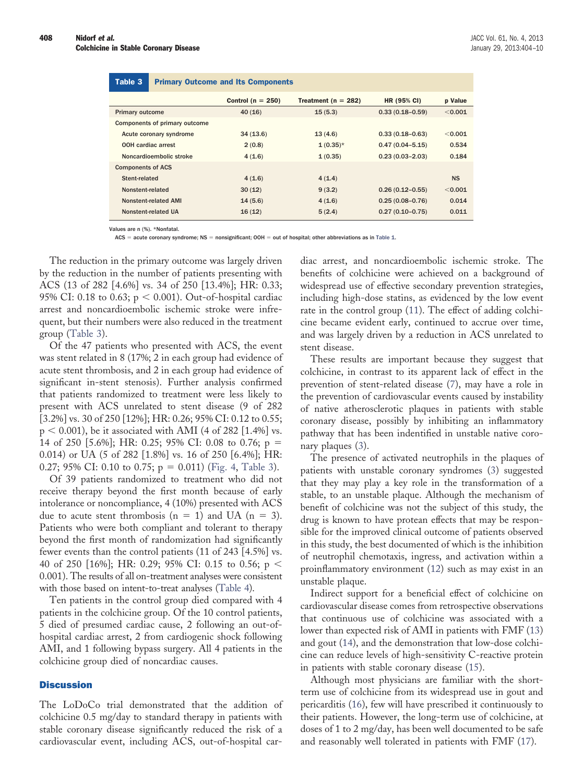## <span id="page-4-0"></span>Primary Outcome and Its Components Table 3 Primary Outcome and Its Components

|                               | Control ( $n = 250$ ) | Treatment ( $n = 282$ ) | <b>HR (95% CI)</b>  | p Value   |
|-------------------------------|-----------------------|-------------------------|---------------------|-----------|
| <b>Primary outcome</b>        | 40(16)                | 15(5.3)                 | $0.33(0.18 - 0.59)$ | < 0.001   |
| Components of primary outcome |                       |                         |                     |           |
| Acute coronary syndrome       | 34(13.6)              | 13(4.6)                 | $0.33(0.18 - 0.63)$ | < 0.001   |
| <b>OOH</b> cardiac arrest     | 2(0.8)                | $1(0.35)$ *             | $0.47(0.04 - 5.15)$ | 0.534     |
| Noncardioembolic stroke       | 4(1.6)                | 1(0.35)                 | $0.23(0.03 - 2.03)$ | 0.184     |
| <b>Components of ACS</b>      |                       |                         |                     |           |
| Stent-related                 | 4(1.6)                | 4(1.4)                  |                     | <b>NS</b> |
| Nonstent-related              | 30(12)                | 9(3.2)                  | $0.26(0.12 - 0.55)$ | < 0.001   |
| <b>Nonstent-related AMI</b>   | 14(5.6)               | 4(1.6)                  | $0.25(0.08 - 0.76)$ | 0.014     |
| Nonstent-related UA           | 16(12)                | 5(2.4)                  | $0.27(0.10 - 0.75)$ | 0.011     |
|                               |                       |                         |                     |           |

Values are n (%). \*Nonfatal.

 $ACS = acute$  coronary syndrome;  $NS =$  nonsignificant; OOH  $=$  out of hospital; other abbreviations as in [Table 1.](#page-3-0)

The reduction in the primary outcome was largely driven by the reduction in the number of patients presenting with ACS (13 of 282 [4.6%] vs. 34 of 250 [13.4%]; HR: 0.33; 95% CI: 0.18 to 0.63;  $p < 0.001$ ). Out-of-hospital cardiac arrest and noncardioembolic ischemic stroke were infrequent, but their numbers were also reduced in the treatment group [\(Table 3\)](#page-4-0).

Of the 47 patients who presented with ACS, the event was stent related in 8 (17%; 2 in each group had evidence of acute stent thrombosis, and 2 in each group had evidence of significant in-stent stenosis). Further analysis confirmed that patients randomized to treatment were less likely to present with ACS unrelated to stent disease (9 of 282 [3.2%] vs. 30 of 250 [12%]; HR: 0.26; 95% CI: 0.12 to 0.55;  $p < 0.001$ ), be it associated with AMI (4 of 282 [1.4%] vs. 14 of 250 [5.6%]; HR: 0.25; 95% CI: 0.08 to 0.76; p 0.014) or UA (5 of 282 [1.8%] vs. 16 of 250 [6.4%]; HR: 0.27; 95% CI: 0.10 to 0.75;  $p = 0.011$ ) [\(Fig. 4,](#page-5-0) [Table 3\)](#page-4-0).

Of 39 patients randomized to treatment who did not receive therapy beyond the first month because of early intolerance or noncompliance, 4 (10%) presented with ACS due to acute stent thrombosis ( $n = 1$ ) and UA ( $n = 3$ ). Patients who were both compliant and tolerant to therapy beyond the first month of randomization had significantly fewer events than the control patients (11 of 243 [4.5%] vs. 40 of 250 [16%]; HR: 0.29; 95% CI: 0.15 to 0.56;  $p <$ 0.001). The results of all on-treatment analyses were consistent with those based on intent-to-treat analyses [\(Table 4\)](#page-5-1).

Ten patients in the control group died compared with 4 patients in the colchicine group. Of the 10 control patients, 5 died of presumed cardiac cause, 2 following an out-ofhospital cardiac arrest, 2 from cardiogenic shock following AMI, and 1 following bypass surgery. All 4 patients in the colchicine group died of noncardiac causes.

#### **Discussion**

The LoDoCo trial demonstrated that the addition of colchicine 0.5 mg/day to standard therapy in patients with stable coronary disease significantly reduced the risk of a cardiovascular event, including ACS, out-of-hospital cardiac arrest, and noncardioembolic ischemic stroke. The benefits of colchicine were achieved on a background of widespread use of effective secondary prevention strategies, including high-dose statins, as evidenced by the low event rate in the control group [\(11\)](#page-6-8). The effect of adding colchicine became evident early, continued to accrue over time, and was largely driven by a reduction in ACS unrelated to stent disease.

These results are important because they suggest that colchicine, in contrast to its apparent lack of effect in the prevention of stent-related disease [\(7\)](#page-6-4), may have a role in the prevention of cardiovascular events caused by instability of native atherosclerotic plaques in patients with stable coronary disease, possibly by inhibiting an inflammatory pathway that has been indentified in unstable native coronary plaques [\(3\)](#page-6-1).

The presence of activated neutrophils in the plaques of patients with unstable coronary syndromes [\(3\)](#page-6-1) suggested that they may play a key role in the transformation of a stable, to an unstable plaque. Although the mechanism of benefit of colchicine was not the subject of this study, the drug is known to have protean effects that may be responsible for the improved clinical outcome of patients observed in this study, the best documented of which is the inhibition of neutrophil chemotaxis, ingress, and activation within a proinflammatory environment [\(12\)](#page-6-9) such as may exist in an unstable plaque.

Indirect support for a beneficial effect of colchicine on cardiovascular disease comes from retrospective observations that continuous use of colchicine was associated with a lower than expected risk of AMI in patients with FMF [\(13\)](#page-6-10) and gout [\(14\)](#page-6-11), and the demonstration that low-dose colchicine can reduce levels of high-sensitivity C-reactive protein in patients with stable coronary disease [\(15\)](#page-6-12).

Although most physicians are familiar with the shortterm use of colchicine from its widespread use in gout and pericarditis [\(16\)](#page-6-13), few will have prescribed it continuously to their patients. However, the long-term use of colchicine, at doses of 1 to 2 mg/day, has been well documented to be safe and reasonably well tolerated in patients with FMF [\(17\)](#page-6-14).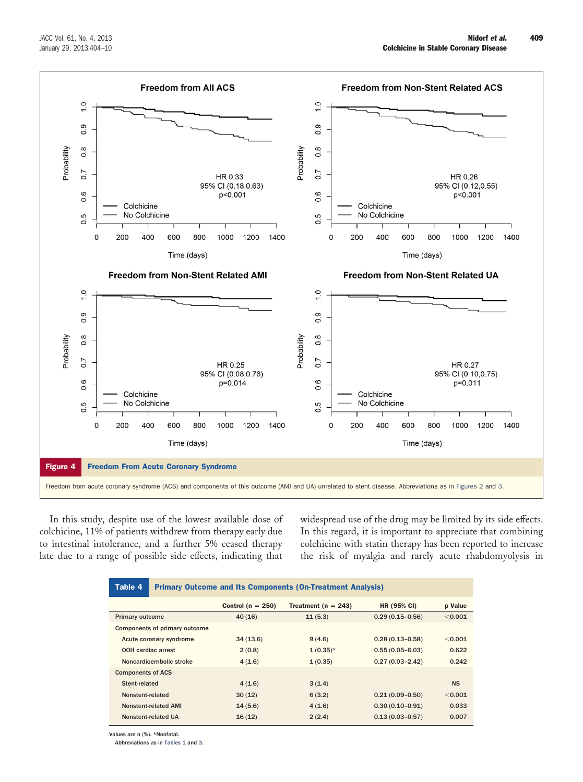

<span id="page-5-0"></span>In this study, despite use of the lowest available dose of colchicine, 11% of patients withdrew from therapy early due to intestinal intolerance, and a further 5% ceased therapy late due to a range of possible side effects, indicating that widespread use of the drug may be limited by its side effects. In this regard, it is important to appreciate that combining colchicine with statin therapy has been reported to increase the risk of myalgia and rarely acute rhabdomyolysis in

<span id="page-5-1"></span>

| Table 4                   | <b>Primary Outcome and Its Components (On-Treatment Analysis)</b> |                       |                         |                     |                |
|---------------------------|-------------------------------------------------------------------|-----------------------|-------------------------|---------------------|----------------|
|                           |                                                                   | Control ( $n = 250$ ) | Treatment ( $n = 243$ ) | <b>HR (95% CI)</b>  | <b>p</b> Value |
| <b>Primary outcome</b>    |                                                                   | 40(16)                | 11(5.3)                 | $0.29(0.15 - 0.56)$ | < 0.001        |
|                           | Components of primary outcome                                     |                       |                         |                     |                |
| Acute coronary syndrome   |                                                                   | 34(13.6)              | 9(4.6)                  | $0.28(0.13 - 0.58)$ | < 0.001        |
| <b>OOH</b> cardiac arrest |                                                                   | 2(0.8)                | $1(0.35)$ *             | $0.55(0.05 - 6.03)$ | 0.622          |
| Noncardioembolic stroke   |                                                                   | 4(1.6)                | 1(0.35)                 | $0.27(0.03 - 2.42)$ | 0.242          |
| <b>Components of ACS</b>  |                                                                   |                       |                         |                     |                |
| Stent-related             |                                                                   | 4(1.6)                | 3(1.4)                  |                     | <b>NS</b>      |
| Nonstent-related          |                                                                   | 30(12)                | 6(3.2)                  | $0.21(0.09 - 0.50)$ | < 0.001        |
| Nonstent-related AMI      |                                                                   | 14(5.6)               | 4(1.6)                  | $0.30(0.10 - 0.91)$ | 0.033          |
| Nonstent-related UA       |                                                                   | 16(12)                | 2(2.4)                  | $0.13(0.03 - 0.57)$ | 0.007          |

Values are n (%). \*Nonfatal.

Abbreviations as in [Tables 1](#page-3-0) and [3.](#page-4-0)